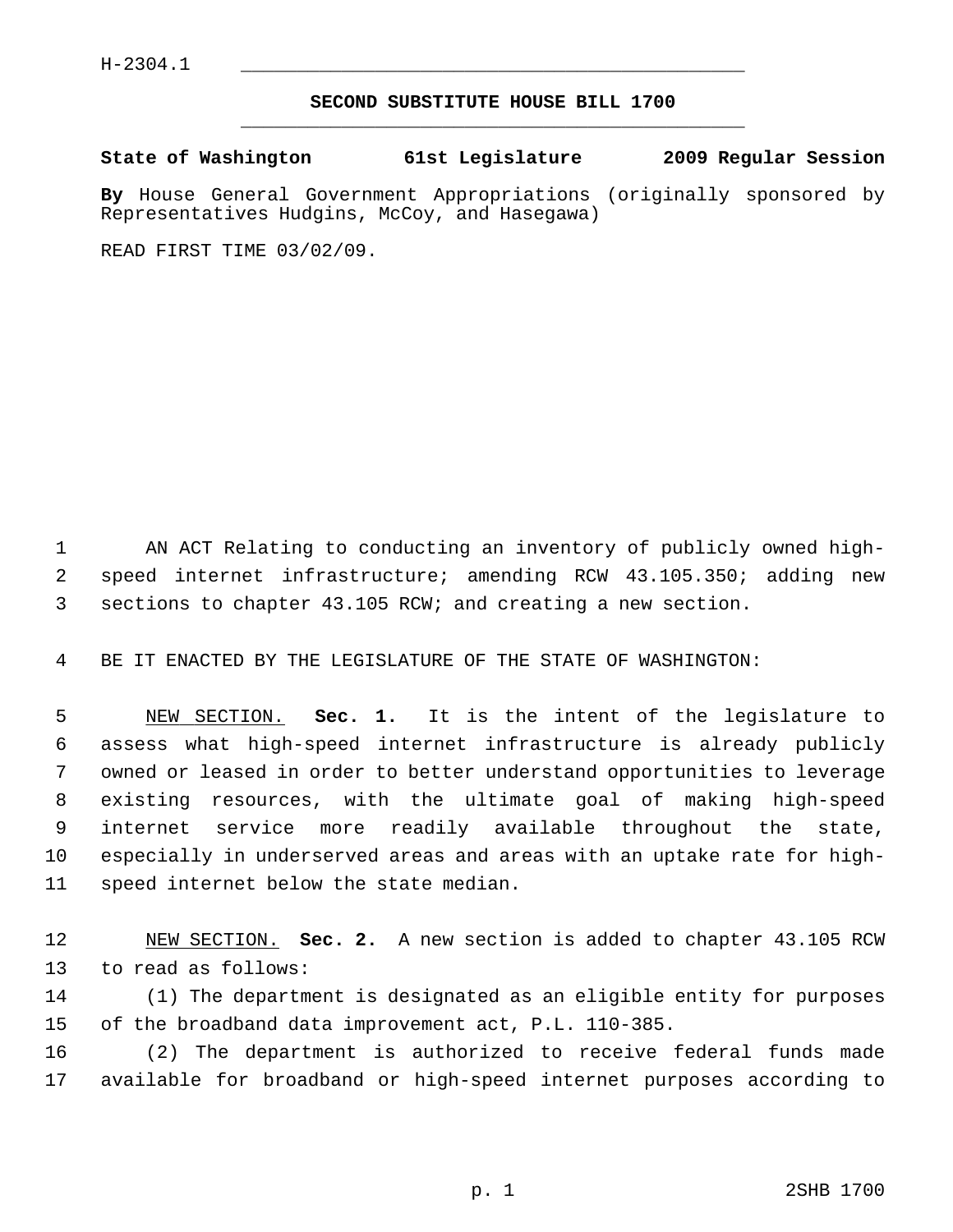## **SECOND SUBSTITUTE HOUSE BILL 1700** \_\_\_\_\_\_\_\_\_\_\_\_\_\_\_\_\_\_\_\_\_\_\_\_\_\_\_\_\_\_\_\_\_\_\_\_\_\_\_\_\_\_\_\_\_

**State of Washington 61st Legislature 2009 Regular Session**

**By** House General Government Appropriations (originally sponsored by Representatives Hudgins, McCoy, and Hasegawa)

READ FIRST TIME 03/02/09.

 1 AN ACT Relating to conducting an inventory of publicly owned high- 2 speed internet infrastructure; amending RCW 43.105.350; adding new 3 sections to chapter 43.105 RCW; and creating a new section.

4 BE IT ENACTED BY THE LEGISLATURE OF THE STATE OF WASHINGTON:

 5 NEW SECTION. **Sec. 1.** It is the intent of the legislature to 6 assess what high-speed internet infrastructure is already publicly 7 owned or leased in order to better understand opportunities to leverage 8 existing resources, with the ultimate goal of making high-speed 9 internet service more readily available throughout the state, 10 especially in underserved areas and areas with an uptake rate for high-11 speed internet below the state median.

12 NEW SECTION. **Sec. 2.** A new section is added to chapter 43.105 RCW 13 to read as follows:

14 (1) The department is designated as an eligible entity for purposes 15 of the broadband data improvement act, P.L. 110-385.

16 (2) The department is authorized to receive federal funds made 17 available for broadband or high-speed internet purposes according to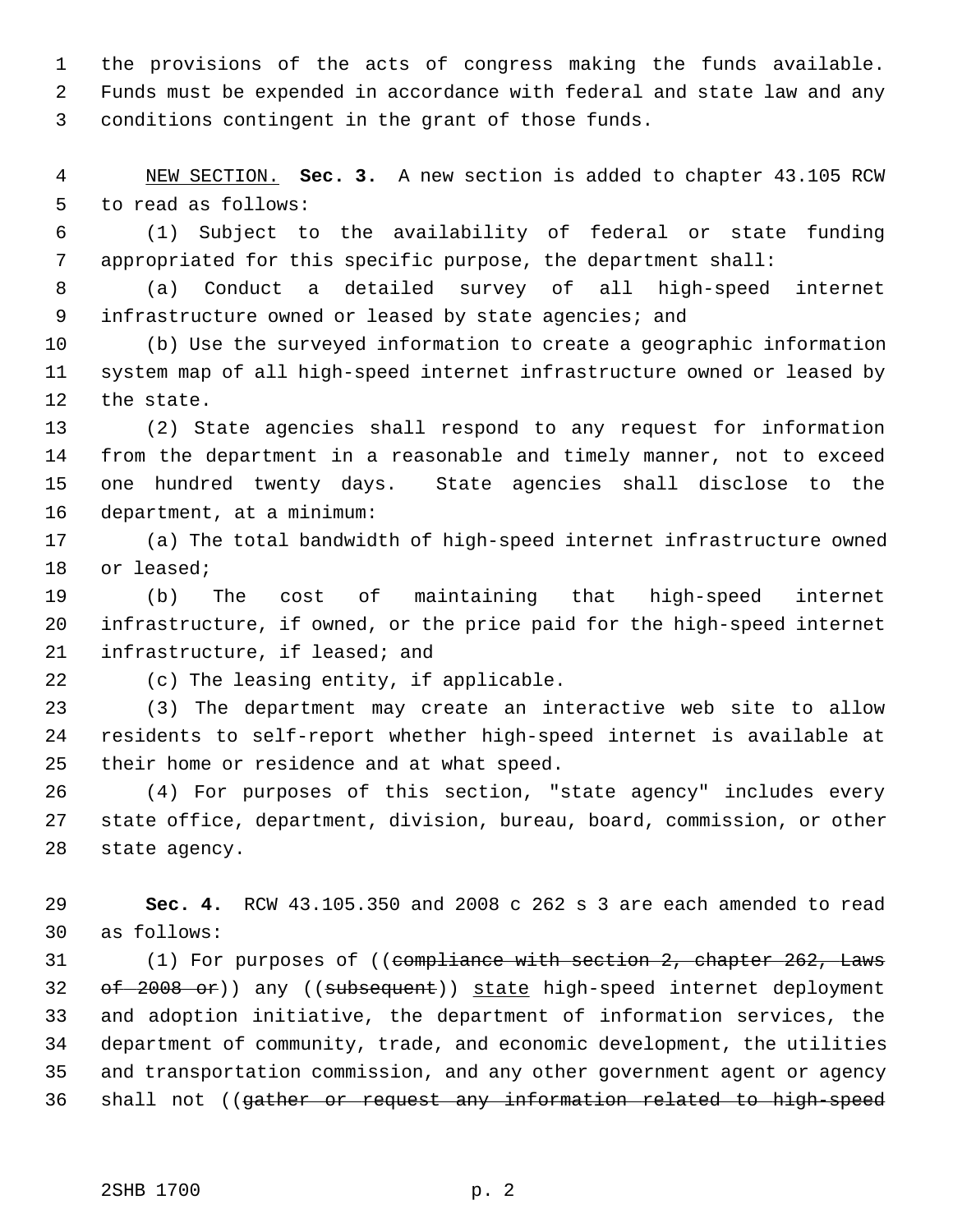1 the provisions of the acts of congress making the funds available. 2 Funds must be expended in accordance with federal and state law and any 3 conditions contingent in the grant of those funds.

 4 NEW SECTION. **Sec. 3.** A new section is added to chapter 43.105 RCW 5 to read as follows:

 6 (1) Subject to the availability of federal or state funding 7 appropriated for this specific purpose, the department shall:

 8 (a) Conduct a detailed survey of all high-speed internet 9 infrastructure owned or leased by state agencies; and

10 (b) Use the surveyed information to create a geographic information 11 system map of all high-speed internet infrastructure owned or leased by 12 the state.

13 (2) State agencies shall respond to any request for information 14 from the department in a reasonable and timely manner, not to exceed 15 one hundred twenty days. State agencies shall disclose to the 16 department, at a minimum:

17 (a) The total bandwidth of high-speed internet infrastructure owned 18 or leased;

19 (b) The cost of maintaining that high-speed internet 20 infrastructure, if owned, or the price paid for the high-speed internet 21 infrastructure, if leased; and

22 (c) The leasing entity, if applicable.

23 (3) The department may create an interactive web site to allow 24 residents to self-report whether high-speed internet is available at 25 their home or residence and at what speed.

26 (4) For purposes of this section, "state agency" includes every 27 state office, department, division, bureau, board, commission, or other 28 state agency.

29 **Sec. 4.** RCW 43.105.350 and 2008 c 262 s 3 are each amended to read 30 as follows:

31 (1) For purposes of ((compliance with section 2, chapter 262, Laws 32 of 2008 or)) any ((subsequent)) state high-speed internet deployment 33 and adoption initiative, the department of information services, the 34 department of community, trade, and economic development, the utilities 35 and transportation commission, and any other government agent or agency 36 shall not ((gather or request any information related to high-speed